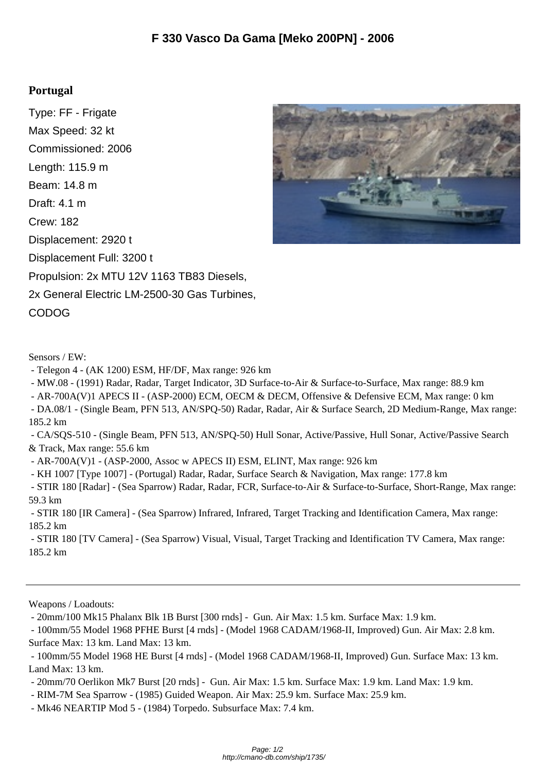## **Portugal**

Type: FF - Frigate Max Speed: 32 kt Commissioned: 2006 Length: 115.9 m Beam: 14.8 m Draft: 4.1 m Crew: 182 Displacement: 2920 t Displacement Full: 3200 t Propulsion: 2x MTU 12V 1163 TB83 Diesels, 2x General Electric LM-2500-30 Gas Turbines, CODOG



- Telegon 4 - (AK 1200) ESM, HF/DF, Max range: 926 km

- MW.08 - (1991) Radar, Radar, Target Indicator, 3D Surface-to-Air & Surface-to-Surface, Max range: 88.9 km

- AR-700A(V)1 APECS II - (ASP-2000) ECM, OECM & DECM, Offensive & Defensive ECM, Max range: 0 km

 - DA.08/1 - (Single Beam, PFN 513, AN/SPQ-50) Radar, Radar, Air & Surface Search, 2D Medium-Range, Max range: 185.2 km

 - CA/SQS-510 - (Single Beam, PFN 513, AN/SPQ-50) Hull Sonar, Active/Passive, Hull Sonar, Active/Passive Search & Track, Max range: 55.6 km

- AR-700A(V)1 - (ASP-2000, Assoc w APECS II) ESM, ELINT, Max range: 926 km

- KH 1007 [Type 1007] - (Portugal) Radar, Radar, Surface Search & Navigation, Max range: 177.8 km

 - STIR 180 [Radar] - (Sea Sparrow) Radar, Radar, FCR, Surface-to-Air & Surface-to-Surface, Short-Range, Max range: 59.3 km

 - STIR 180 [IR Camera] - (Sea Sparrow) Infrared, Infrared, Target Tracking and Identification Camera, Max range: 185.2 km

 - STIR 180 [TV Camera] - (Sea Sparrow) Visual, Visual, Target Tracking and Identification TV Camera, Max range: 185.2 km

Weapons / Loadouts:

- 20mm/100 Mk15 Phalanx Blk 1B Burst [300 rnds] - Gun. Air Max: 1.5 km. Surface Max: 1.9 km.

 - 100mm/55 Model 1968 PFHE Burst [4 rnds] - (Model 1968 CADAM/1968-II, Improved) Gun. Air Max: 2.8 km. Surface Max: 13 km. Land Max: 13 km.

 - 100mm/55 Model 1968 HE Burst [4 rnds] - (Model 1968 CADAM/1968-II, Improved) Gun. Surface Max: 13 km. Land Max: 13 km.

- 20mm/70 Oerlikon Mk7 Burst [20 rnds] - Gun. Air Max: 1.5 km. Surface Max: 1.9 km. Land Max: 1.9 km.

- RIM-7M Sea Sparrow - (1985) Guided Weapon. Air Max: 25.9 km. Surface Max: 25.9 km.

- Mk46 NEARTIP Mod 5 - (1984) Torpedo. Subsurface Max: 7.4 km.